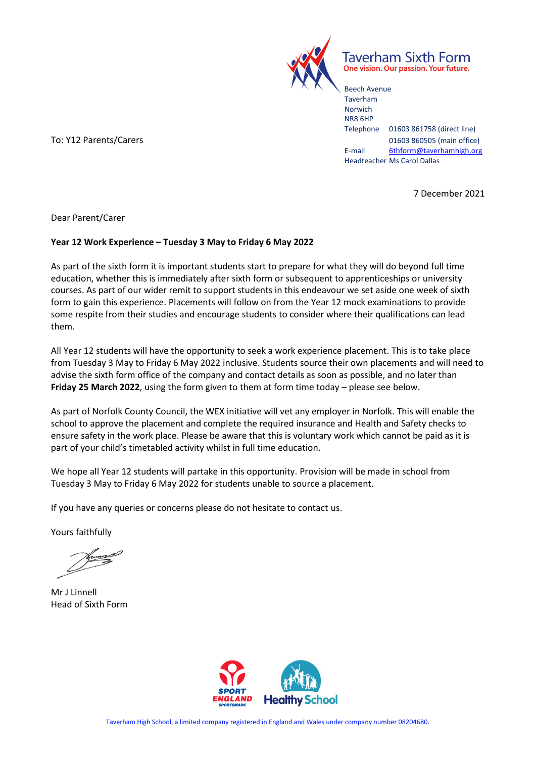

Taverham Sixth Form One vision. Our passion. Your future.

Beech Avenue Taverham Norwich NR8 6HP Telephone 01603 861758 (direct line) To: Y12 Parents/Carers 201603 860505 (main office) E-mail [6thform@taverhamhigh.org](mailto:6thform@taverhamhigh.org) Headteacher Ms Carol Dallas

7 December 2021

Dear Parent/Carer

#### **Year 12 Work Experience – Tuesday 3 May to Friday 6 May 2022**

As part of the sixth form it is important students start to prepare for what they will do beyond full time education, whether this is immediately after sixth form or subsequent to apprenticeships or university courses. As part of our wider remit to support students in this endeavour we set aside one week of sixth form to gain this experience. Placements will follow on from the Year 12 mock examinations to provide some respite from their studies and encourage students to consider where their qualifications can lead them.

All Year 12 students will have the opportunity to seek a work experience placement. This is to take place from Tuesday 3 May to Friday 6 May 2022 inclusive. Students source their own placements and will need to advise the sixth form office of the company and contact details as soon as possible, and no later than **Friday 25 March 2022**, using the form given to them at form time today – please see below.

As part of Norfolk County Council, the WEX initiative will vet any employer in Norfolk. This will enable the school to approve the placement and complete the required insurance and Health and Safety checks to ensure safety in the work place. Please be aware that this is voluntary work which cannot be paid as it is part of your child's timetabled activity whilst in full time education.

We hope all Year 12 students will partake in this opportunity. Provision will be made in school from Tuesday 3 May to Friday 6 May 2022 for students unable to source a placement.

If you have any queries or concerns please do not hesitate to contact us.

Yours faithfully

Mr J Linnell Head of Sixth Form

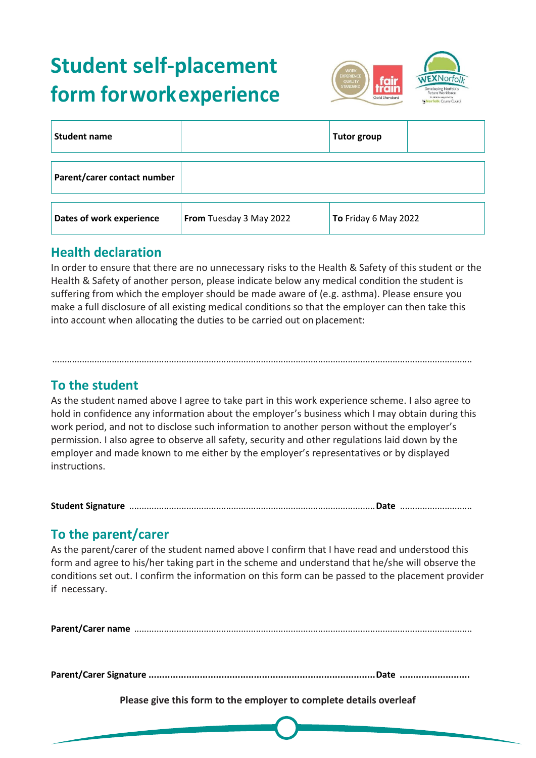# **Student self-placement form forworkexperience**



| <b>Student name</b>         |                         | <b>Tutor group</b>   |
|-----------------------------|-------------------------|----------------------|
| Parent/carer contact number |                         |                      |
| Dates of work experience    | From Tuesday 3 May 2022 | To Friday 6 May 2022 |

#### **Health declaration**

In order to ensure that there are no unnecessary risks to the Health & Safety of this student or the Health & Safety of another person, please indicate below any medical condition the student is suffering from which the employer should be made aware of (e.g. asthma). Please ensure you make a full disclosure of all existing medical conditions so that the employer can then take this into account when allocating the duties to be carried out on placement:

#### **To the student**

As the student named above I agree to take part in this work experience scheme. I also agree to hold in confidence any information about the employer's business which I may obtain during this work period, and not to disclose such information to another person without the employer's permission. I also agree to observe all safety, security and other regulations laid down by the employer and made known to me either by the employer's representatives or by displayed instructions.

.........................................................................................................................................................................

**Student Signature** ...................................................................................................**Date** .............................

### **To the parent/carer**

As the parent/carer of the student named above I confirm that I have read and understood this form and agree to his/her taking part in the scheme and understand that he/she will observe the conditions set out. I confirm the information on this form can be passed to the placement provider if necessary.

**Parent/Carer name** ........................................................................................................................................

**Parent/Carer Signature ....................................................................................Date ..........................**

**Please give this form to the employer to complete details overleaf**